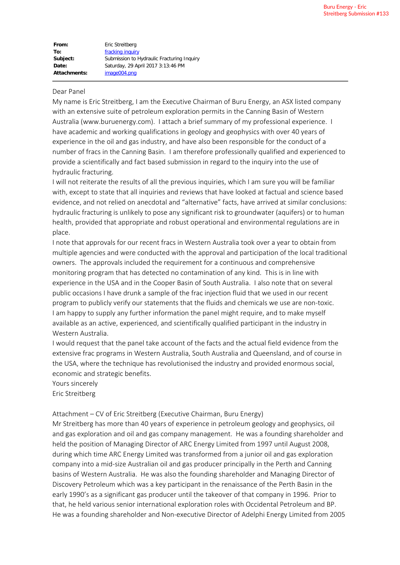| From:               | Eric Streitberg                            |
|---------------------|--------------------------------------------|
| To:                 | fracking inquiry                           |
| Subject:            | Submission to Hydraulic Fracturing Inquiry |
| Date:               | Saturday, 29 April 2017 3:13:46 PM         |
| <b>Attachments:</b> | image004.png                               |

## Dear Panel

My name is Eric Streitberg, I am the Executive Chairman of Buru Energy, an ASX listed company with an extensive suite of petroleum exploration permits in the Canning Basin of Western Australia (www.buruenergy.com). I attach a brief summary of my professional experience. I have academic and working qualifications in geology and geophysics with over 40 years of experience in the oil and gas industry, and have also been responsible for the conduct of a number of fracs in the Canning Basin. I am therefore professionally qualified and experienced to provide a scientifically and fact based submission in regard to the inquiry into the use of hydraulic fracturing.

I will not reiterate the results of all the previous inquiries, which I am sure you will be familiar with, except to state that all inquiries and reviews that have looked at factual and science based evidence, and not relied on anecdotal and "alternative" facts, have arrived at similar conclusions: hydraulic fracturing is unlikely to pose any significant risk to groundwater (aquifers) or to human health, provided that appropriate and robust operational and environmental regulations are in place.

I note that approvals for our recent fracs in Western Australia took over a year to obtain from multiple agencies and were conducted with the approval and participation of the local traditional owners. The approvals included the requirement for a continuous and comprehensive monitoring program that has detected no contamination of any kind. This is in line with experience in the USA and in the Cooper Basin of South Australia. I also note that on several public occasions I have drunk a sample of the frac injection fluid that we used in our recent program to publicly verify our statements that the fluids and chemicals we use are non-toxic. I am happy to supply any further information the panel might require, and to make myself available as an active, experienced, and scientifically qualified participant in the industry in Western Australia.

I would request that the panel take account of the facts and the actual field evidence from the extensive frac programs in Western Australia, South Australia and Queensland, and of course in the USA, where the technique has revolutionised the industry and provided enormous social, economic and strategic benefits.

Yours sincerely Eric Streitberg

Attachment – CV of Eric Streitberg (Executive Chairman, Buru Energy)

Mr Streitberg has more than 40 years of experience in petroleum geology and geophysics, oil and gas exploration and oil and gas company management. He was a founding shareholder and held the position of Managing Director of ARC Energy Limited from 1997 until August 2008, during which time ARC Energy Limited was transformed from a junior oil and gas exploration company into a mid-size Australian oil and gas producer principally in the Perth and Canning basins of Western Australia. He was also the founding shareholder and Managing Director of Discovery Petroleum which was a key participant in the renaissance of the Perth Basin in the early 1990's as a significant gas producer until the takeover of that company in 1996. Prior to that, he held various senior international exploration roles with Occidental Petroleum and BP. He was a founding shareholder and Non-executive Director of Adelphi Energy Limited from 2005